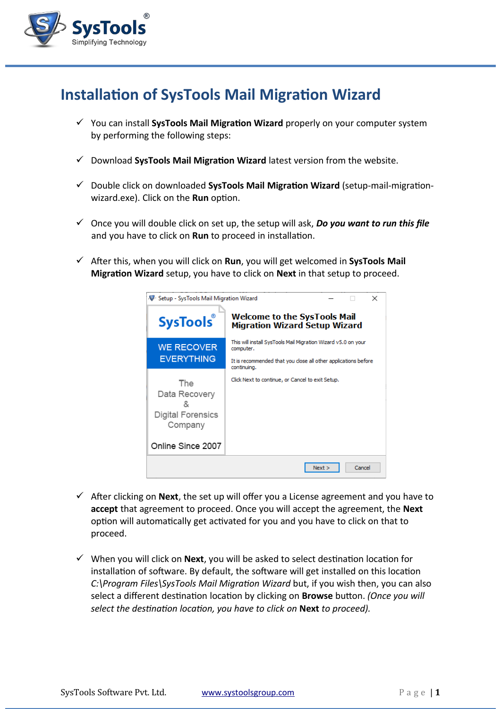

## **Installation of SysTools Mail Migration Wizard**

- You can install **SysTools Mail Migration Wizard** properly on your computer system by performing the following steps:
- Download **SysTools Mail Migration Wizard** latest version from the website.
- Double click on downloaded **SysTools Mail Migration Wizard** (setup-mail-migrationwizard.exe). Click on the **Run** option.
- Once you will double click on set up, the setup will ask, *Do you want to run this file* and you have to click on **Run** to proceed in installation.
- After this, when you will click on **Run**, you will get welcomed in **SysTools Mail Migration Wizard** setup, you have to click on **Next** in that setup to proceed.

| Setup - SysTools Mail Migration Wizard<br>×                 |                                                                               |
|-------------------------------------------------------------|-------------------------------------------------------------------------------|
| <b>SysTools</b>                                             | <b>Welcome to the SysTools Mail</b><br><b>Migration Wizard Setup Wizard</b>   |
| <b>WE RECOVER</b>                                           | This will install SysTools Mail Migration Wizard v5.0 on your<br>computer.    |
| <b>EVERYTHING</b>                                           | It is recommended that you close all other applications before<br>continuina. |
| The<br>Data Recovery<br><b>Digital Forensics</b><br>Company | Click Next to continue, or Cancel to exit Setup.                              |
| Online Since 2007                                           |                                                                               |
|                                                             | Cancel<br>Next                                                                |

- $\checkmark$  After clicking on **Next**, the set up will offer you a License agreement and you have to **accept** that agreement to proceed. Once you will accept the agreement, the **Next** option will automatically get activated for you and you have to click on that to proceed.
- When you will click on **Next**, you will be asked to select destination location for installation of software. By default, the software will get installed on this location *C:\Program Files\SysTools Mail Migration Wizard* but, if you wish then, you can also select a different destination location by clicking on **Browse** button. *(Once you will select the destination location, you have to click on* **Next** *to proceed).*